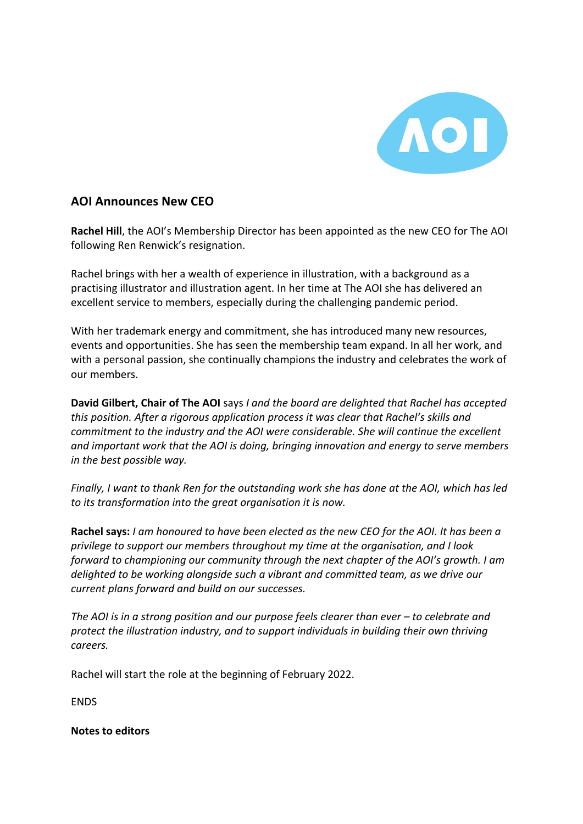

## **AOI Announces New CEO**

**Rachel Hill**, the AOI's Membership Director has been appointed as the new CEO for The AOI following Ren Renwick's resignation.

Rachel brings with her a wealth of experience in illustration, with a background as a practising illustrator and illustration agent. In her time at The AOI she has delivered an excellent service to members, especially during the challenging pandemic period.

With her trademark energy and commitment, she has introduced many new resources, events and opportunities. She has seen the membership team expand. In all her work, and with a personal passion, she continually champions the industry and celebrates the work of our members.

**David Gilbert, Chair of The AOI** says *I and the board are delighted that Rachel has accepted this position. After a rigorous application process it was clear that Rachel's skills and commitment to the industry and the AOI were considerable. She will continue the excellent and important work that the AOI is doing, bringing innovation and energy to serve members in the best possible way.* 

*Finally, I want to thank Ren for the outstanding work she has done at the AOI, which has led to its transformation into the great organisation it is now.*

**Rachel says:** *I am honoured to have been elected as the new CEO for the AOI. It has been a privilege to support our members throughout my time at the organisation, and I look forward to championing our community through the next chapter of the AOI's growth. I am delighted to be working alongside such a vibrant and committed team, as we drive our current plans forward and build on our successes.* 

*The AOI is in a strong position and our purpose feels clearer than ever – to celebrate and protect the illustration industry, and to support individuals in building their own thriving careers.*

Rachel will start the role at the beginning of February 2022.

ENDS

**Notes to editors**